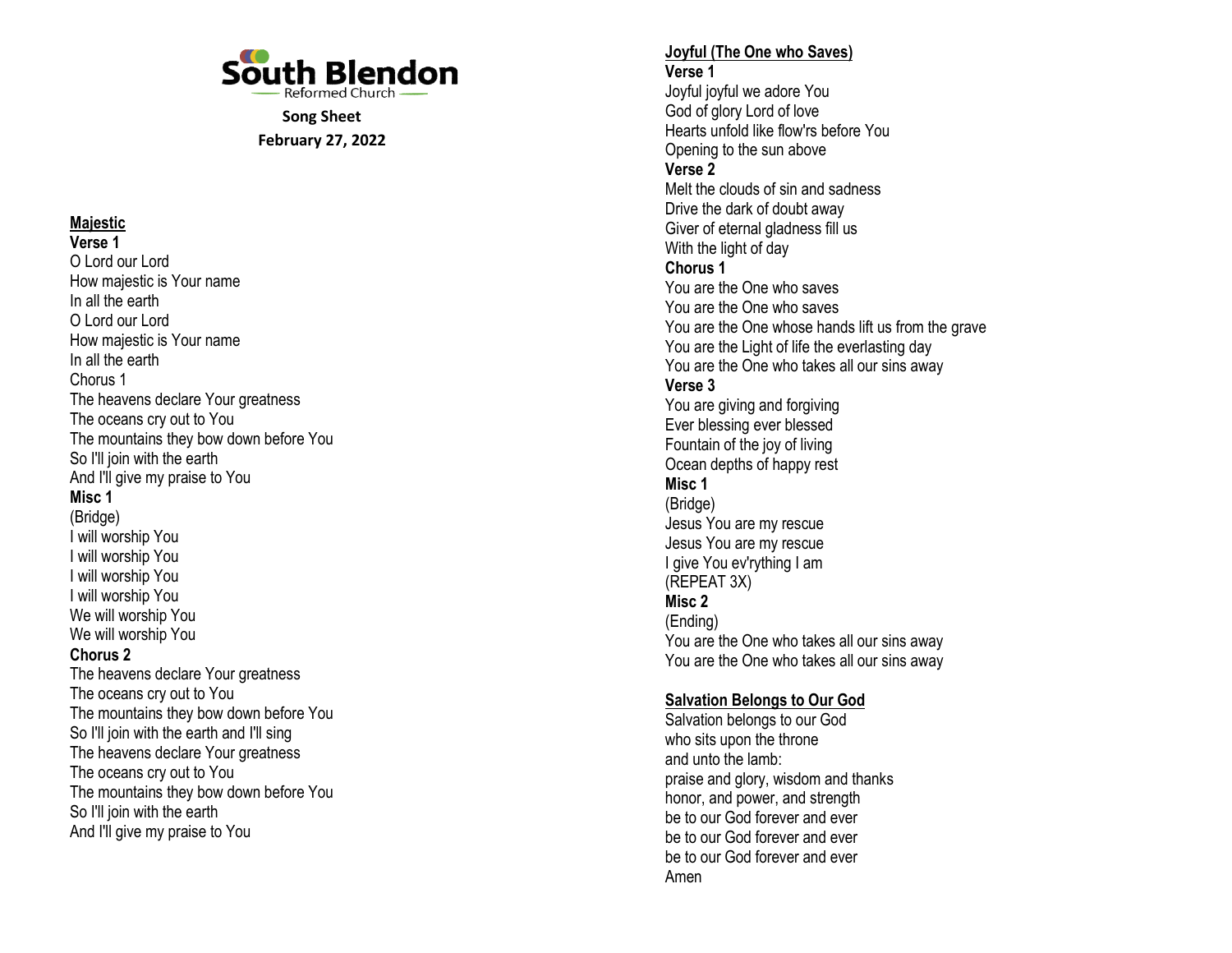

Song Sheet February 27, 2022

# **Majestic**

Verse 1 O Lord our Lord How majestic is Your name In all the earth O Lord our Lord How majestic is Your name In all the earth Chorus 1 The heavens declare Your greatness The oceans cry out to You The mountains they bow down before You So I'll join with the earth And I'll give my praise to You Misc 1 (Bridge) I will worship You I will worship You I will worship You I will worship You We will worship You We will worship You Chorus 2 The heavens declare Your greatness The oceans cry out to You The mountains they bow down before You So I'll join with the earth and I'll sing The heavens declare Your greatness The oceans cry out to You The mountains they bow down before You So I'll join with the earth And I'll give my praise to You

#### Joyful (The One who Saves) Verse 1

Joyful joyful we adore You God of glory Lord of love Hearts unfold like flow'rs before You Opening to the sun above Verse 2 Melt the clouds of sin and sadness Drive the dark of doubt away Giver of eternal gladness fill us With the light of day Chorus 1 You are the One who saves You are the One who saves You are the One whose hands lift us from the grave You are the Light of life the everlasting day You are the One who takes all our sins away Verse 3 You are giving and forgiving Ever blessing ever blessed Fountain of the joy of living Ocean depths of happy rest Misc 1 (Bridge) Jesus You are my rescue Jesus You are my rescue I give You ev'rything I am (REPEAT 3X) Misc 2 (Ending) You are the One who takes all our sins away You are the One who takes all our sins away

## Salvation Belongs to Our God

Salvation belongs to our God who sits upon the throne and unto the lamb: praise and glory, wisdom and thanks honor, and power, and strength be to our God forever and ever be to our God forever and ever be to our God forever and ever Amen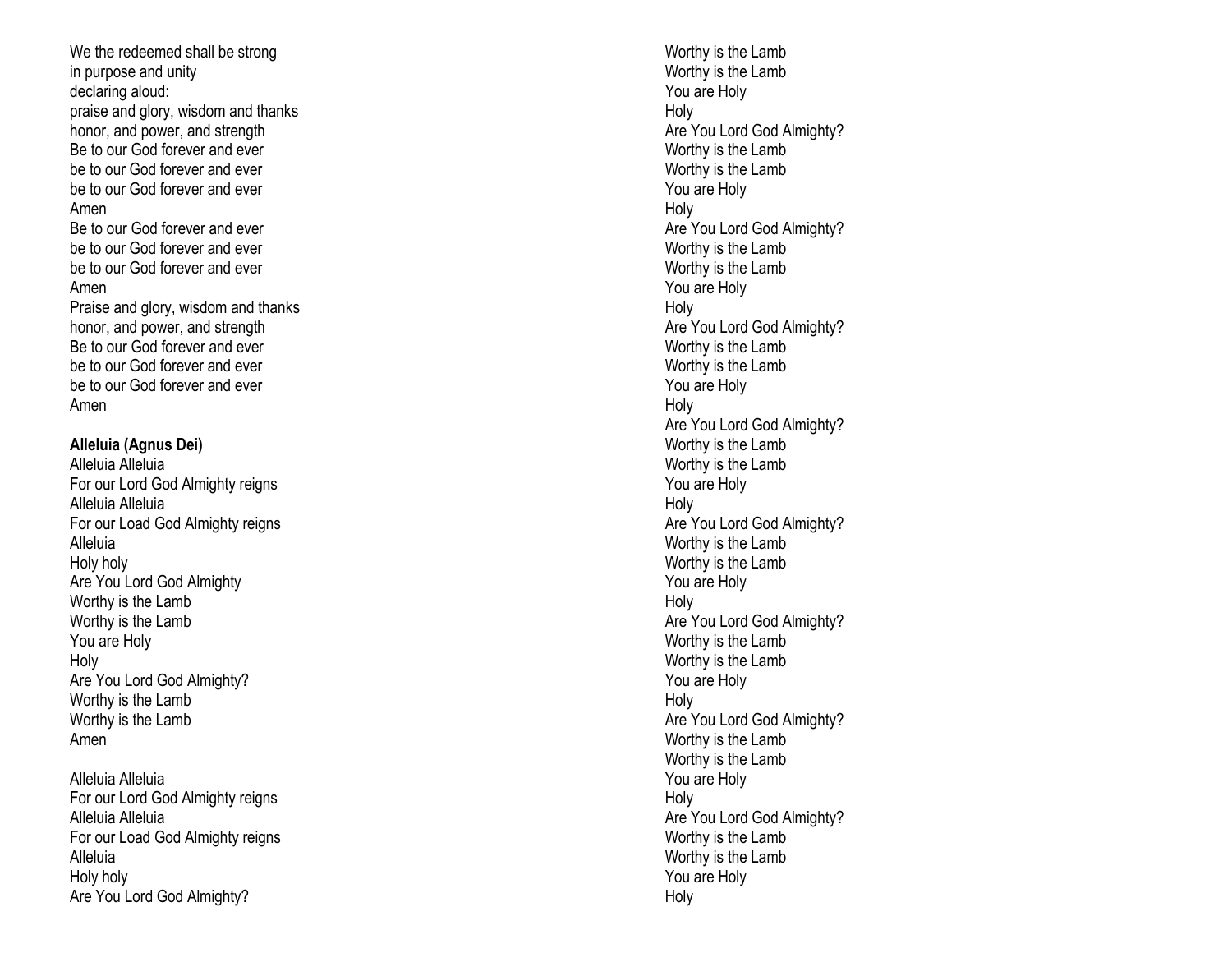We the redeemed shall be strong in purpose and unity declaring aloud: praise and glory, wisdom and thanks honor, and power, and strength Be to our God forever and ever be to our God forever and ever be to our God forever and ever Amen Be to our God forever and ever be to our God forever and ever be to our God forever and ever Amen Praise and glory, wisdom and thanks honor, and power, and strength Be to our God forever and ever be to our God forever and ever be to our God forever and ever Amen

#### Alleluia (Agnus Dei)

Alleluia Alleluia For our Lord God Almighty reigns Alleluia Alleluia For our Load God Almighty reigns Alleluia Holy holy Are You Lord God Almighty Worthy is the Lamb Worthy is the Lamb You are Holy Holy Are You Lord God Almighty? Worthy is the Lamb Worthy is the Lamb Amen

Alleluia Alleluia For our Lord God Almighty reigns Alleluia Alleluia For our Load God Almighty reigns Alleluia Holy holy Are You Lord God Almighty?

Worthy is the Lamb Worthy is the Lamb You are Holy Holy Are You Lord God Almighty? Worthy is the Lamb Worthy is the Lamb You are Holy Holy Are You Lord God Almighty? Worthy is the Lamb Worthy is the Lamb You are Holy Holy Are You Lord God Almighty? Worthy is the Lamb Worthy is the Lamb You are Holy Holy Are You Lord God Almighty? Worthy is the Lamb Worthy is the Lamb You are Holy Holy Are You Lord God Almighty? Worthy is the Lamb Worthy is the Lamb You are Holy Holy Are You Lord God Almighty? Worthy is the Lamb Worthy is the Lamb You are Holy Holy Are You Lord God Almighty? Worthy is the Lamb Worthy is the Lamb You are Holy Holy Are You Lord God Almighty? Worthy is the Lamb Worthy is the Lamb You are Holy Holy